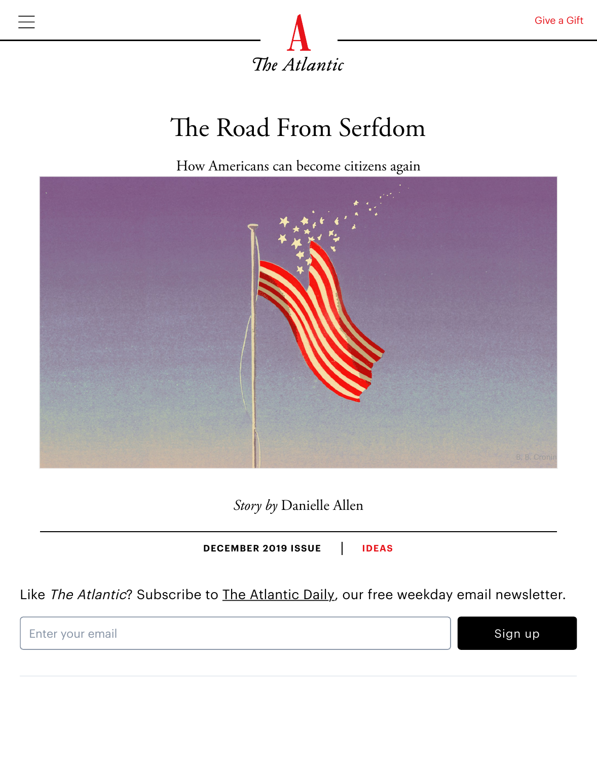#### The Road [Fro](https://www.theatlantic.com/)m Serfdom

How Americ[ans can become](https://www.theatlantic.com/) citizens again



*Story by* Danielle Allen

#### **DECEMBER 2019 ISSUE IDEAS**

Like The Atlantic? Subscribe to The Atlantic Daily, our free weekday email ne

Enter your email Sign up to the Sign up of the Sign up to the Sign up to Sign up to Sign up to Sign up to Sign up to Sign up to Sign up to Sign up to Sign up to Sign up to Sign up to Sign up to Sign up to Sign up to Sign u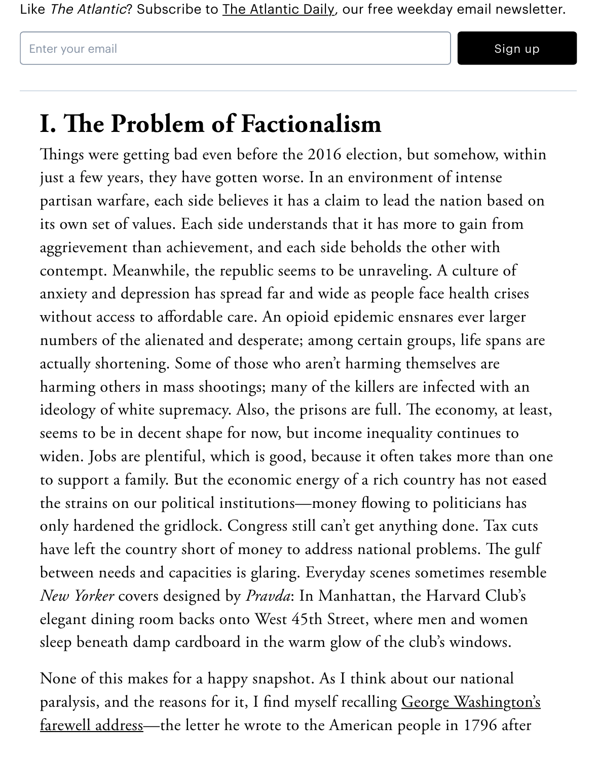## **I. Te Problem [of Factiona](http://www.theatlantic.com/newsletters/daily/)lism**

Things were getting bad even before the 2016 election, but somehow, v just a few years, they have gotten worse. In an environment of intense partisan warfare, each side believes it has a claim to lead the nation bas its own set of values. Each side understands that it has more to gain from aggrievement than achievement, and each side beholds the other with contempt. Meanwhile, the republic seems to be unraveling. A culture of anxiety and depression has spread far and wide as people face health cr without access to affordable care. An opioid epidemic ensnares ever larger numbers of the alienated and desperate; among certain groups, life spa actually shortening. Some of those who aren't harming themselves are harming others in mass shootings; many of the killers are infected with ideology of white supremacy. Also, the prisons are full. The economy, a seems to be in decent shape for now, but income inequality continues widen. Jobs are plentiful, which is good, because it often takes more than to support a family. But the economic energy of a rich country has not the strains on our political institutions—money flowing to politicians only hardened the gridlock. Congress still can't get anything done. Tax have left the country short of money to address national problems. The between needs and capacities is glaring. Everyday scenes sometimes res *New Yorker* covers designed by *Pravda*: In Manhattan, the Harvard Clu elegant dining room backs onto West 45th Street, where men and won sleep beneath damp cardboard in the warm glow of the club's windows.

None of this makes for a happy snapshot. As I think about our national paralysis, and the reasons for it, I find myself recalling George Washing farewell address—the letter he wrote to the American people in 1796 a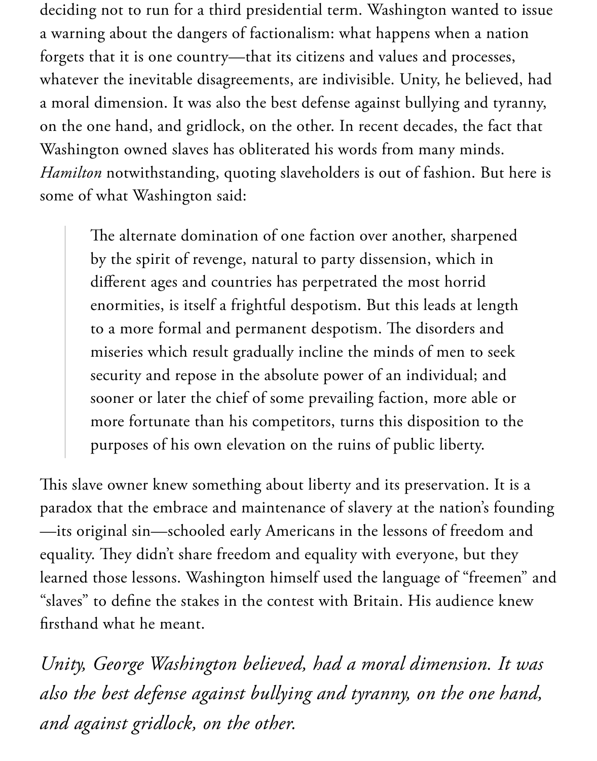deciding not to run for a third presidential term. Washington wanted to issue a warning about the dangers of factionalism: what happens when a nation forgets that it is one country—that its citizens and values and processes, whatever the inevitable disagreements, are indivisible. Unity, he believed, had a moral dimension. It was also the best defense against bullying and tyranny, on the one hand, and gridlock, on the other. In recent decades, the fact that Washington owned slaves has obliterated his words from many minds. *Hamilton* notwithstanding, quoting slaveholders is out of fashion. But here is some of what Washington said:

The alternate domination of one faction over another, sharpened by the spirit of revenge, natural to party dissension, which in different ages and countries has perpetrated the most horrid enormities, is itself a frightful despotism. But this leads at length to a more formal and permanent despotism. The disorders and miseries which result gradually incline the minds of men to seek security and repose in the absolute power of an individual; and sooner or later the chief of some prevailing faction, more able or more fortunate than his competitors, turns this disposition to the purposes of his own elevation on the ruins of public liberty.

This slave owner knew something about liberty and its preservation. It is a paradox that the embrace and maintenance of slavery at the nation's founding —its original sin—schooled early Americans in the lessons of freedom and equality. They didn't share freedom and equality with everyone, but they learned those lessons. Washington himself used the language of "freemen" and "slaves" to defne the stakes in the contest with Britain. His audience knew frsthand what he meant.

*Unity, George Washington believed, had a moral dimension. It was also the best defense against bullying and tyranny, on the one hand, and against gridlock, on the other.*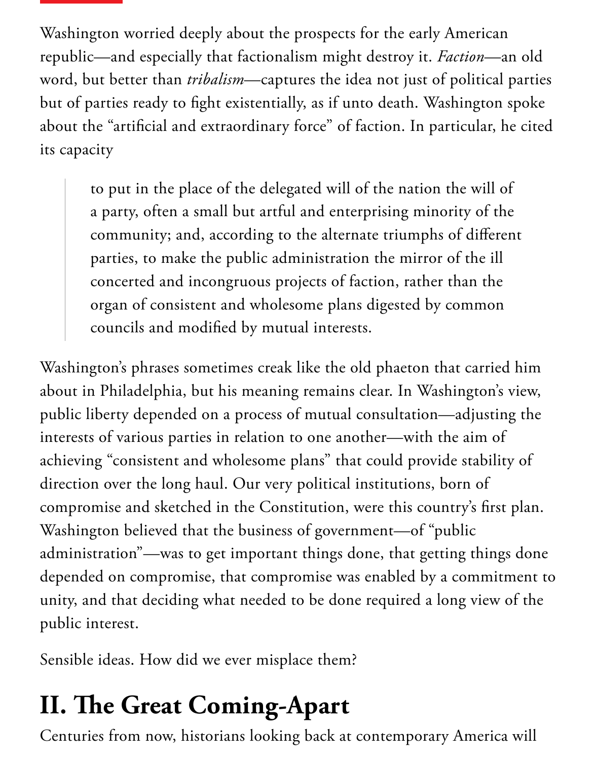Washington worried deeply about the prospects for the early American republic—and especially that factionalism might destroy it. *Faction*—an old word, but better than *tribalism*—captures the idea not just of political parties but of parties ready to fght existentially, as if unto death. Washington spoke about the "artifcial and extraordinary force" of faction. In particular, he cited its capacity

to put in the place of the delegated will of the nation the will of a party, often a small but artful and enterprising minority of the community; and, according to the alternate triumphs of different parties, to make the public administration the mirror of the ill concerted and incongruous projects of faction, rather than the organ of consistent and wholesome plans digested by common councils and modifed by mutual interests.

Washington's phrases sometimes creak like the old phaeton that carried him about in Philadelphia, but his meaning remains clear. In Washington's view, public liberty depended on a process of mutual consultation—adjusting the interests of various parties in relation to one another—with the aim of achieving "consistent and wholesome plans" that could provide stability of direction over the long haul. Our very political institutions, born of compromise and sketched in the Constitution, were this country's frst plan. Washington believed that the business of government—of "public administration"—was to get important things done, that getting things done depended on compromise, that compromise was enabled by a commitment to unity, and that deciding what needed to be done required a long view of the public interest.

Sensible ideas. How did we ever misplace them?

# **II. Te Great Coming-Apart**

Centuries from now, historians looking back at contemporary America will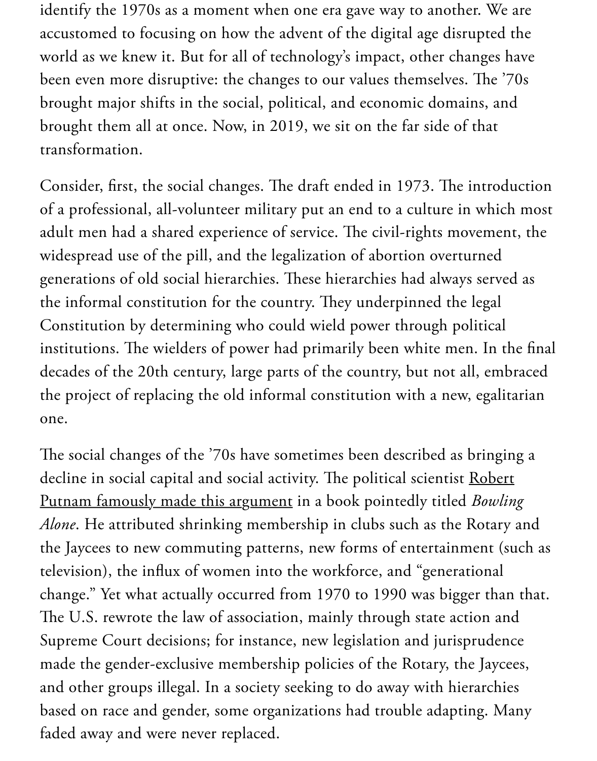brought major shifts in the social, political, and economic domains, and brought them all at once. Now, in 2019, we sit on the far side of that transformation.

Consider, first, the social changes. The draft ended in 1973. The introductions of a professional, all-volunteer military put an end to a culture in whic adult men had a shared experience of service. The civil-rights movemer widespread use of the pill, and the legalization of abortion overturned generations of old social hierarchies. These hierarchies had always serve the informal constitution for the country. They underpinned the legal Constitution by determining who could wield power through political institutions. The wielders of power had primarily been white men. In the decades of the 20th century, large parts of the country, but not all, embraced the project of replacing the old informal constitution with a new, egali one.

The social changes of the '70s have sometimes been described as bringing decline in social capital and social activity. The political scientist Rober Putnam famously made this argument in a book pointedly titled *Bowli* Alone. He attributed shrinking membership in clubs such as the Rotary the Jaycees to new commuting patterns, new forms of entertainment (so television), the infux of women into the workforce, and "generational change." Yet what actually occurred from 1970 to 1990 was bigger tha The U.S. rewrote the law of association, mainly through state action are Supreme Court decisions; for instance, new legislation and jurispruder made the gender-exclusive membership policies of the Rotary, the Jayce and other groups illegal. In a society seeking to do away with hierarchi based on race and gender, some organizations had trouble adapting. M faded away and were never replaced.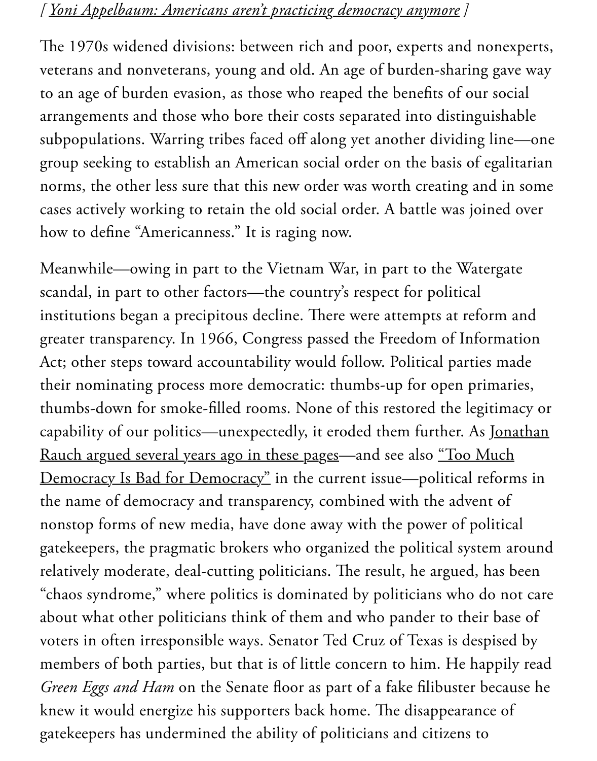a[rrangements and those who bore their costs separated into dist](https://www.theatlantic.com/magazine/archive/2018/10/losing-the-democratic-habit/568336/)inguish subpopulations. Warring tribes faced off along yet another dividing lin group seeking to establish an American social order on the basis of egal norms, the other less sure that this new order was worth creating and in cases actively working to retain the old social order. A battle was joined how to defne "Americanness." It is raging now.

Meanwhile—owing in part to the Vietnam War, in part to the Watergates scandal, in part to other factors—the country's respect for political institutions began a precipitous decline. There were attempts at reform greater transparency. In 1966, Congress passed the Freedom of Inform Act; other steps toward accountability would follow. Political parties m their nominating process more democratic: thumbs-up for open prima thumbs-down for smoke-filled rooms. None of this restored the legitin capability of our politics—unexpectedly, it eroded them further. As Jon Rauch argued several years ago in these pages-and see also "Too Much Democracy Is Bad for Democracy" in the current issue-political refor the name of democracy and transparency, combined with the advent of nonstop forms of new media, have done away with the power of politic gatekeepers, the pragmatic brokers who organized the political system [relatively moderate, deal-cutting politicians.](https://www.theatlantic.com/magazine/archive/2019/12/too-much-democracy-is-bad-for-democracy/600766/) The result, he argued, has "chaos syndrome," where politics is dominated by politicians who do n about what other politicians think of them and who pander to their ba voters in often irresponsible ways. Senator Ted Cruz of Texas is despise members of both parties, but that is of little concern to him. He happi *Green Eggs and Ham* on the Senate floor as part of a fake filibuster beca knew it would energize his supporters back home. The disappearance of gatekeepers has undermined the ability of politicians and citizens to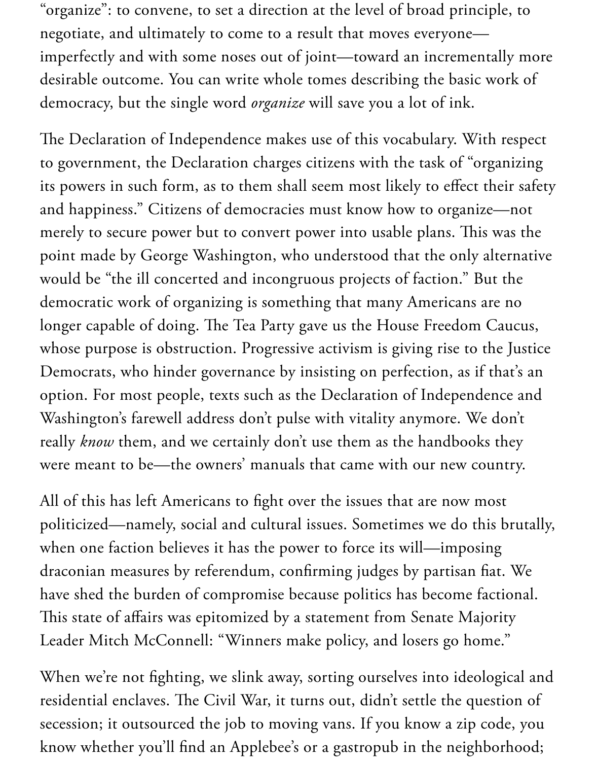"organize": to convene, to set a direction at the level of broad principle, to negotiate, and ultimately to come to a result that moves everyone imperfectly and with some noses out of joint—toward an incrementally more desirable outcome. You can write whole tomes describing the basic work of democracy, but the single word *organize* will save you a lot of ink.

The Declaration of Independence makes use of this vocabulary. With respect to government, the Declaration charges citizens with the task of "organizing its powers in such form, as to them shall seem most likely to effect their safety and happiness." Citizens of democracies must know how to organize—not merely to secure power but to convert power into usable plans. This was the point made by George Washington, who understood that the only alternative would be "the ill concerted and incongruous projects of faction." But the democratic work of organizing is something that many Americans are no longer capable of doing. The Tea Party gave us the House Freedom Caucus, whose purpose is obstruction. Progressive activism is giving rise to the Justice Democrats, who hinder governance by insisting on perfection, as if that's an option. For most people, texts such as the Declaration of Independence and Washington's farewell address don't pulse with vitality anymore. We don't really *know* them, and we certainly don't use them as the handbooks they were meant to be—the owners' manuals that came with our new country.

All of this has left Americans to fght over the issues that are now most politicized—namely, social and cultural issues. Sometimes we do this brutally, when one faction believes it has the power to force its will—imposing draconian measures by referendum, confrming judges by partisan fat. We have shed the burden of compromise because politics has become factional. This state of affairs was epitomized by a statement from Senate Majority Leader Mitch McConnell: "Winners make policy, and losers go home."

When we're not fghting, we slink away, sorting ourselves into ideological and residential enclaves. The Civil War, it turns out, didn't settle the question of secession; it outsourced the job to moving vans. If you know a zip code, you know whether you'll fnd an Applebee's or a gastropub in the neighborhood;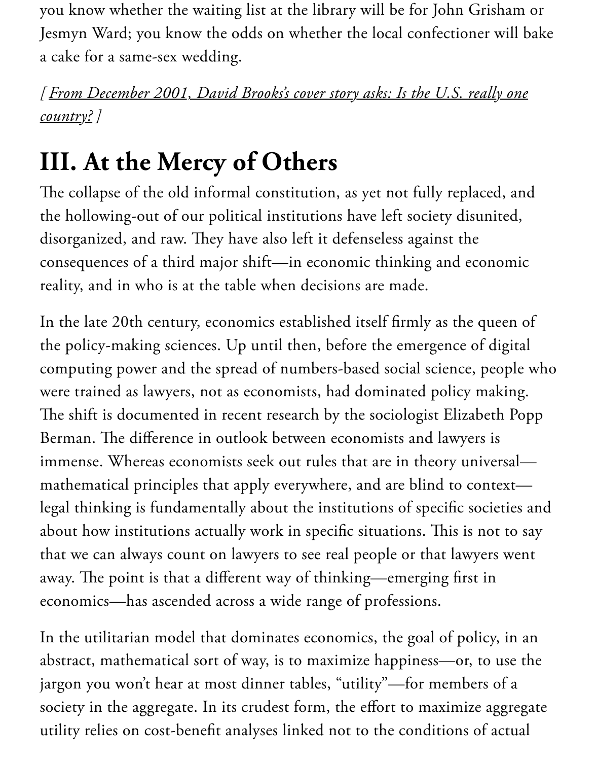*country? ]*

### **III. At the Mercy of Others**

The collapse of the old informal constitution, as yet not fully replaced, the hollowing-out of our political institutions have left society disunite disorganized, and raw. They have also left it defenseless against the consequences of a third major shift—in economic thinking and economic reality, and in who is at the table when decisions are made.

In the late 20th century, economics established itself firmly as the quee the policy-making sciences. Up until then, before the emergence of dig computing power and the spread of numbers-based social science, peop were trained as lawyers, not as economists, had dominated policy maki The shift is documented in recent research by the sociologist Elizabeth Berman. The difference in outlook between economists and lawyers is immense. Whereas economists seek out rules that are in theory univers mathematical principles that apply everywhere, and are blind to contex legal thinking is fundamentally about the institutions of specific societ. about how institutions actually work in specific situations. This is not to that we can always count on lawyers to see real people or that lawyers v away. The point is that a different way of thinking—emerging first in economics—has ascended across a wide range of professions.

In the utilitarian model that dominates economics, the goal of policy, in abstract, mathematical sort of way, is to maximize happiness—or, to us jargon you won't hear at most dinner tables, "utility"—for members of society in the aggregate. In its crudest form, the effort to maximize agg utility relies on cost-benefit analyses linked not to the conditions of act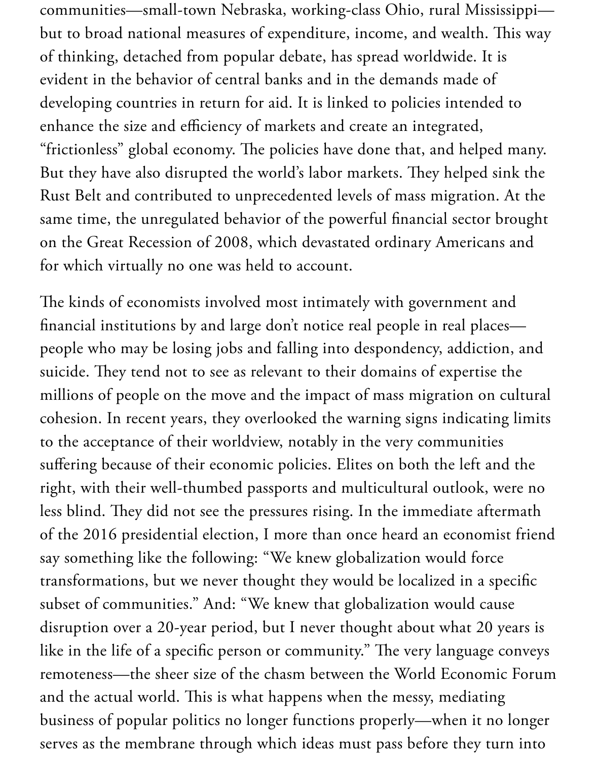communities—small-town Nebraska, working-class Ohio, rural Mississippi but to broad national measures of expenditure, income, and wealth. This way of thinking, detached from popular debate, has spread worldwide. It is evident in the behavior of central banks and in the demands made of developing countries in return for aid. It is linked to policies intended to enhance the size and efficiency of markets and create an integrated, "frictionless" global economy. The policies have done that, and helped many. But they have also disrupted the world's labor markets. They helped sink the Rust Belt and contributed to unprecedented levels of mass migration. At the same time, the unregulated behavior of the powerful fnancial sector brought on the Great Recession of 2008, which devastated ordinary Americans and for which virtually no one was held to account.

The kinds of economists involved most intimately with government and fnancial institutions by and large don't notice real people in real places people who may be losing jobs and falling into despondency, addiction, and suicide. They tend not to see as relevant to their domains of expertise the millions of people on the move and the impact of mass migration on cultural cohesion. In recent years, they overlooked the warning signs indicating limits to the acceptance of their worldview, notably in the very communities suffering because of their economic policies. Elites on both the left and the right, with their well-thumbed passports and multicultural outlook, were no less blind. They did not see the pressures rising. In the immediate aftermath of the 2016 presidential election, I more than once heard an economist friend say something like the following: "We knew globalization would force transformations, but we never thought they would be localized in a specifc subset of communities." And: "We knew that globalization would cause disruption over a 20-year period, but I never thought about what 20 years is like in the life of a specific person or community." The very language conveys remoteness—the sheer size of the chasm between the World Economic Forum and the actual world. This is what happens when the messy, mediating business of popular politics no longer functions properly—when it no longer serves as the membrane through which ideas must pass before they turn into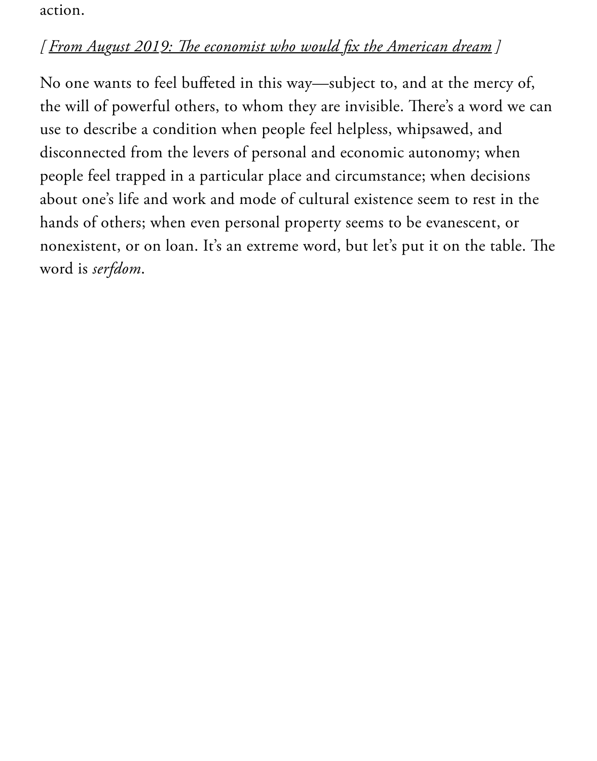the will of powerful others, to whom they are invisible. There's a word use to describe a condition when people feel helpless, whipsawed, and d[isconnected from the levers of personal and economic autonomy; w](https://www.theatlantic.com/magazine/archive/2019/08/raj-chettys-american-dream/592804/)hen people feel trapped in a particular place and circumstance; when decisi about one's life and work and mode of cultural existence seem to rest in hands of others; when even personal property seems to be evanescent, nonexistent, or on loan. It's an extreme word, but let's put it on the table word is *serfdom*.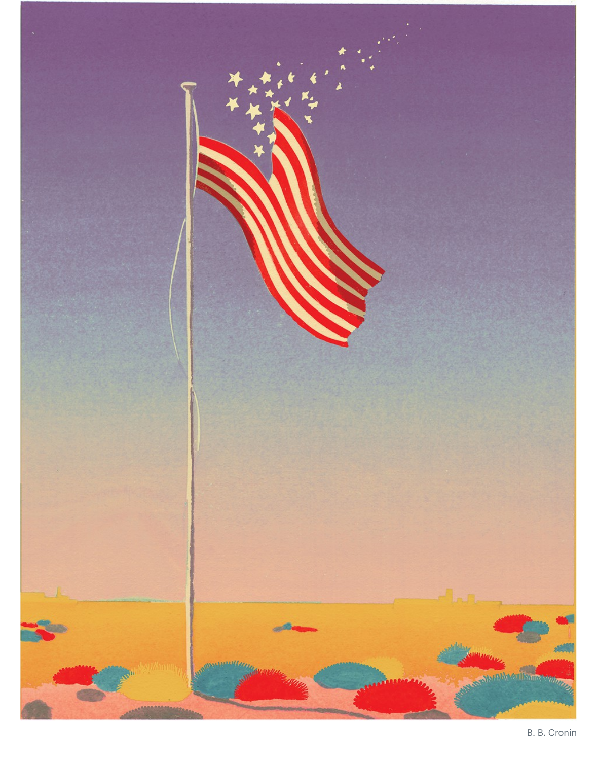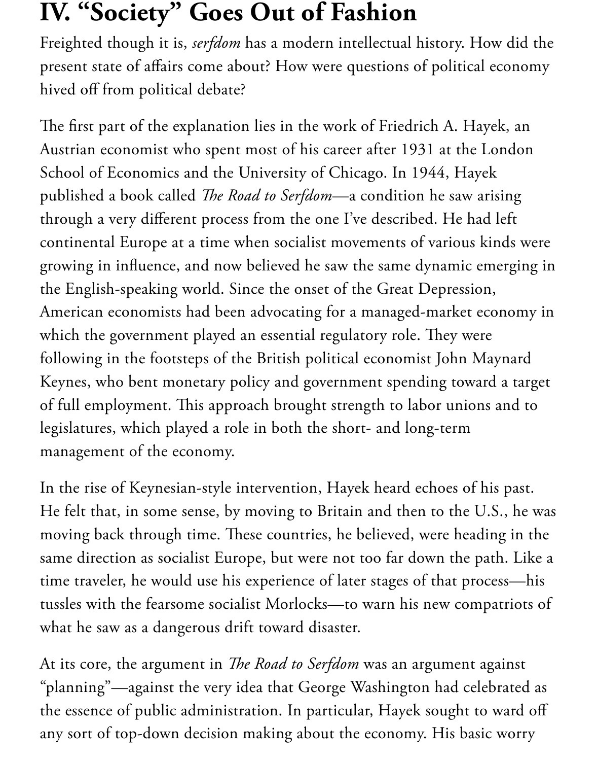#### **IV. "Society" Goes Out of Fashion**

Freighted though it is, *serfdom* has a modern intellectual history. How did the present state of affairs come about? How were questions of political economy hived off from political debate?

The first part of the explanation lies in the work of Friedrich A. Hayek, an Austrian economist who spent most of his career after 1931 at the London School of Economics and the University of Chicago. In 1944, Hayek published a book called *Te Road to Serfdom*—a condition he saw arising through a very different process from the one I've described. He had left continental Europe at a time when socialist movements of various kinds were growing in infuence, and now believed he saw the same dynamic emerging in the English-speaking world. Since the onset of the Great Depression, American economists had been advocating for a managed-market economy in which the government played an essential regulatory role. They were following in the footsteps of the British political economist John Maynard Keynes, who bent monetary policy and government spending toward a target of full employment. This approach brought strength to labor unions and to legislatures, which played a role in both the short- and long-term management of the economy.

In the rise of Keynesian-style intervention, Hayek heard echoes of his past. He felt that, in some sense, by moving to Britain and then to the U.S., he was moving back through time. These countries, he believed, were heading in the same direction as socialist Europe, but were not too far down the path. Like a time traveler, he would use his experience of later stages of that process—his tussles with the fearsome socialist Morlocks—to warn his new compatriots of what he saw as a dangerous drift toward disaster.

At its core, the argument in *The Road to Serfdom* was an argument against "planning"—against the very idea that George Washington had celebrated as the essence of public administration. In particular, Hayek sought to ward off any sort of top-down decision making about the economy. His basic worry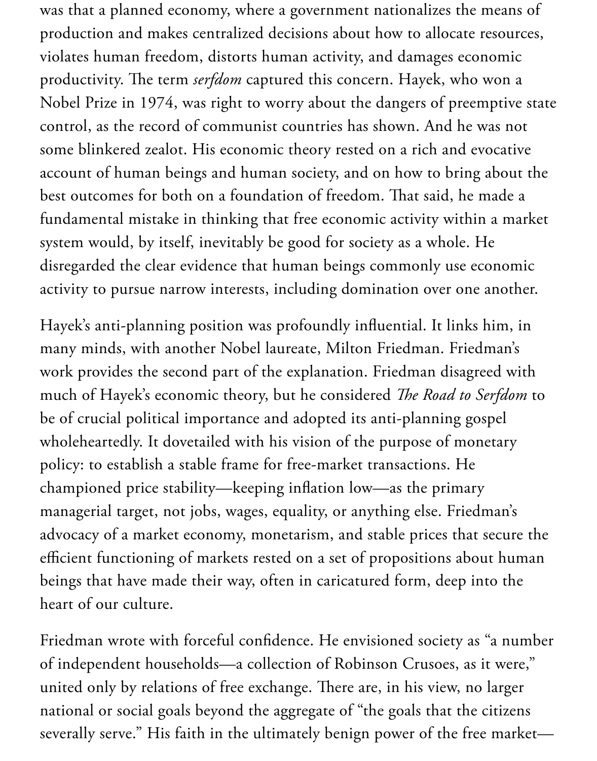was that a planned economy, where a government nationalizes the means of production and makes centralized decisions about how to allocate resources, violates human freedom, distorts human activity, and damages economic productivity. The term *serfdom* captured this concern. Hayek, who won a Nobel Prize in 1974, was right to worry about the dangers of preemptive state control, as the record of communist countries has shown. And he was not some blinkered zealot. His economic theory rested on a rich and evocative account of human beings and human society, and on how to bring about the best outcomes for both on a foundation of freedom. That said, he made a fundamental mistake in thinking that free economic activity within a market system would, by itself, inevitably be good for society as a whole. He disregarded the clear evidence that human beings commonly use economic activity to pursue narrow interests, including domination over one another.

Hayek's anti-planning position was profoundly infuential. It links him, in many minds, with another Nobel laureate, Milton Friedman. Friedman's work provides the second part of the explanation. Friedman disagreed with much of Hayek's economic theory, but he considered *Te Road to Serfdom* to be of crucial political importance and adopted its anti-planning gospel wholeheartedly. It dovetailed with his vision of the purpose of monetary policy: to establish a stable frame for free-market transactions. He championed price stability—keeping infation low—as the primary managerial target, not jobs, wages, equality, or anything else. Friedman's advocacy of a market economy, monetarism, and stable prices that secure the efficient functioning of markets rested on a set of propositions about human beings that have made their way, often in caricatured form, deep into the heart of our culture.

Friedman wrote with forceful confdence. He envisioned society as "a number of independent households—a collection of Robinson Crusoes, as it were," united only by relations of free exchange. There are, in his view, no larger national or social goals beyond the aggregate of "the goals that the citizens severally serve." His faith in the ultimately benign power of the free market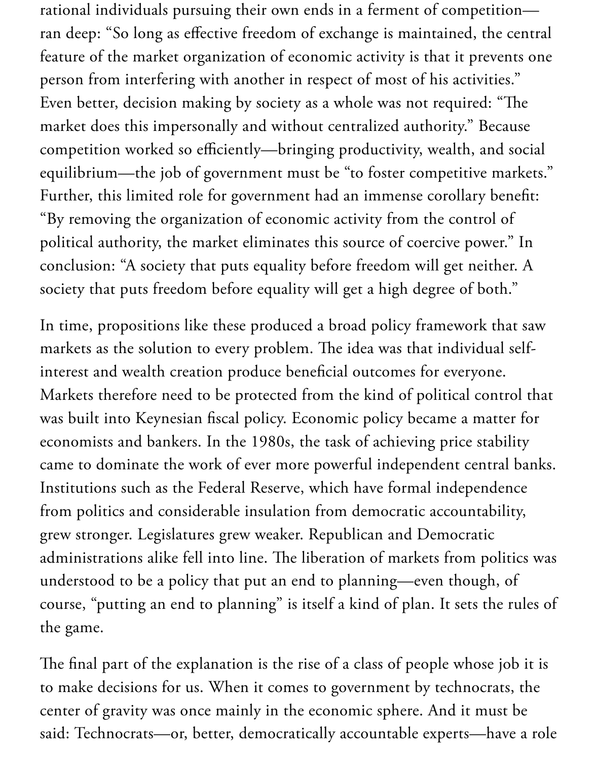rational individuals pursuing their own ends in a ferment of competition ran deep: "So long as effective freedom of exchange is maintained, the central feature of the market organization of economic activity is that it prevents one person from interfering with another in respect of most of his activities." Even better, decision making by society as a whole was not required: "The market does this impersonally and without centralized authority." Because competition worked so efficiently—bringing productivity, wealth, and social equilibrium—the job of government must be "to foster competitive markets." Further, this limited role for government had an immense corollary beneft: "By removing the organization of economic activity from the control of political authority, the market eliminates this source of coercive power." In conclusion: "A society that puts equality before freedom will get neither. A society that puts freedom before equality will get a high degree of both."

In time, propositions like these produced a broad policy framework that saw markets as the solution to every problem. The idea was that individual selfinterest and wealth creation produce benefcial outcomes for everyone. Markets therefore need to be protected from the kind of political control that was built into Keynesian fscal policy. Economic policy became a matter for economists and bankers. In the 1980s, the task of achieving price stability came to dominate the work of ever more powerful independent central banks. Institutions such as the Federal Reserve, which have formal independence from politics and considerable insulation from democratic accountability, grew stronger. Legislatures grew weaker. Republican and Democratic administrations alike fell into line. The liberation of markets from politics was understood to be a policy that put an end to planning—even though, of course, "putting an end to planning" is itself a kind of plan. It sets the rules of the game.

The final part of the explanation is the rise of a class of people whose job it is to make decisions for us. When it comes to government by technocrats, the center of gravity was once mainly in the economic sphere. And it must be said: Technocrats—or, better, democratically accountable experts—have a role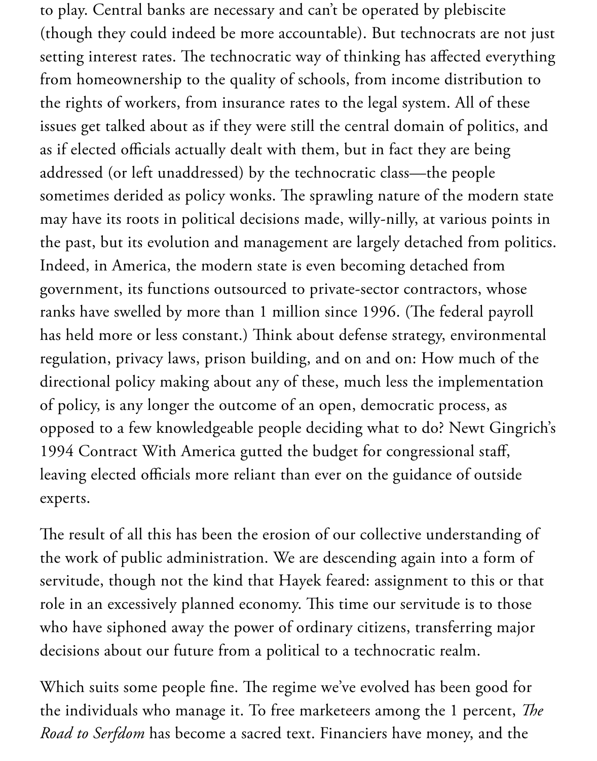to play. Central banks are necessary and can't be operated by plebiscite (though they could indeed be more accountable). But technocrats are not just setting interest rates. The technocratic way of thinking has affected everything from homeownership to the quality of schools, from income distribution to the rights of workers, from insurance rates to the legal system. All of these issues get talked about as if they were still the central domain of politics, and as if elected officials actually dealt with them, but in fact they are being addressed (or left unaddressed) by the technocratic class—the people sometimes derided as policy wonks. The sprawling nature of the modern state may have its roots in political decisions made, willy-nilly, at various points in the past, but its evolution and management are largely detached from politics. Indeed, in America, the modern state is even becoming detached from government, its functions outsourced to private-sector contractors, whose ranks have swelled by more than 1 million since 1996. (The federal payroll has held more or less constant.) Think about defense strategy, environmental regulation, privacy laws, prison building, and on and on: How much of the directional policy making about any of these, much less the implementation of policy, is any longer the outcome of an open, democratic process, as opposed to a few knowledgeable people deciding what to do? Newt Gingrich's 1994 Contract With America gutted the budget for congressional staff, leaving elected officials more reliant than ever on the guidance of outside experts.

The result of all this has been the erosion of our collective understanding of the work of public administration. We are descending again into a form of servitude, though not the kind that Hayek feared: assignment to this or that role in an excessively planned economy. This time our servitude is to those who have siphoned away the power of ordinary citizens, transferring major decisions about our future from a political to a technocratic realm.

Which suits some people fine. The regime we've evolved has been good for the individuals who manage it. To free marketeers among the 1 percent, *Te Road to Serfdom* has become a sacred text. Financiers have money, and the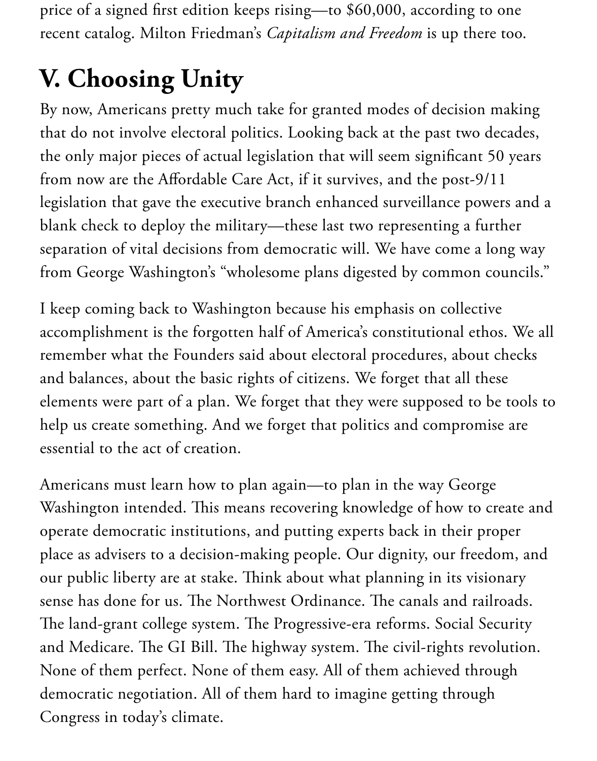price of a signed frst edition keeps rising—to \$60,000, according to one recent catalog. Milton Friedman's *Capitalism and Freedom* is up there too.

# **V. Choosing Unity**

By now, Americans pretty much take for granted modes of decision making that do not involve electoral politics. Looking back at the past two decades, the only major pieces of actual legislation that will seem signifcant 50 years from now are the Affordable Care Act, if it survives, and the post-9/11 legislation that gave the executive branch enhanced surveillance powers and a blank check to deploy the military—these last two representing a further separation of vital decisions from democratic will. We have come a long way from George Washington's "wholesome plans digested by common councils."

I keep coming back to Washington because his emphasis on collective accomplishment is the forgotten half of America's constitutional ethos. We all remember what the Founders said about electoral procedures, about checks and balances, about the basic rights of citizens. We forget that all these elements were part of a plan. We forget that they were supposed to be tools to help us create something. And we forget that politics and compromise are essential to the act of creation.

Americans must learn how to plan again—to plan in the way George Washington intended. This means recovering knowledge of how to create and operate democratic institutions, and putting experts back in their proper place as advisers to a decision-making people. Our dignity, our freedom, and our public liberty are at stake. Think about what planning in its visionary sense has done for us. The Northwest Ordinance. The canals and railroads. The land-grant college system. The Progressive-era reforms. Social Security and Medicare. The GI Bill. The highway system. The civil-rights revolution. None of them perfect. None of them easy. All of them achieved through democratic negotiation. All of them hard to imagine getting through Congress in today's climate.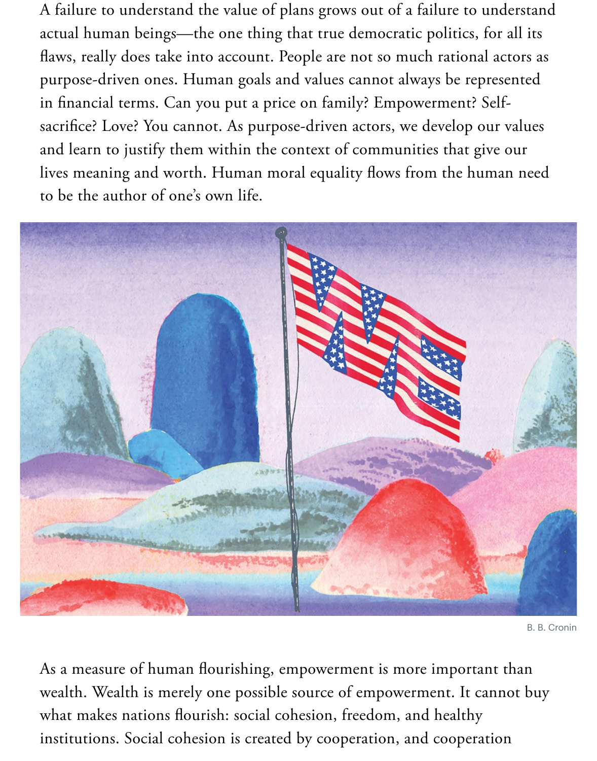A failure to understand the value of plans grows out of a failure to understand actual human beings—the one thing that true democratic politics, for all its faws, really does take into account. People are not so much rational actors as purpose-driven ones. Human goals and values cannot always be represented in fnancial terms. Can you put a price on family? Empowerment? Selfsacrifce? Love? You cannot. As purpose-driven actors, we develop our values and learn to justify them within the context of communities that give our lives meaning and worth. Human moral equality flows from the human need to be the author of one's own life.



B. B. Cronin

As a measure of human fourishing, empowerment is more important than wealth. Wealth is merely one possible source of empowerment. It cannot buy what makes nations fourish: social cohesion, freedom, and healthy institutions. Social cohesion is created by cooperation, and cooperation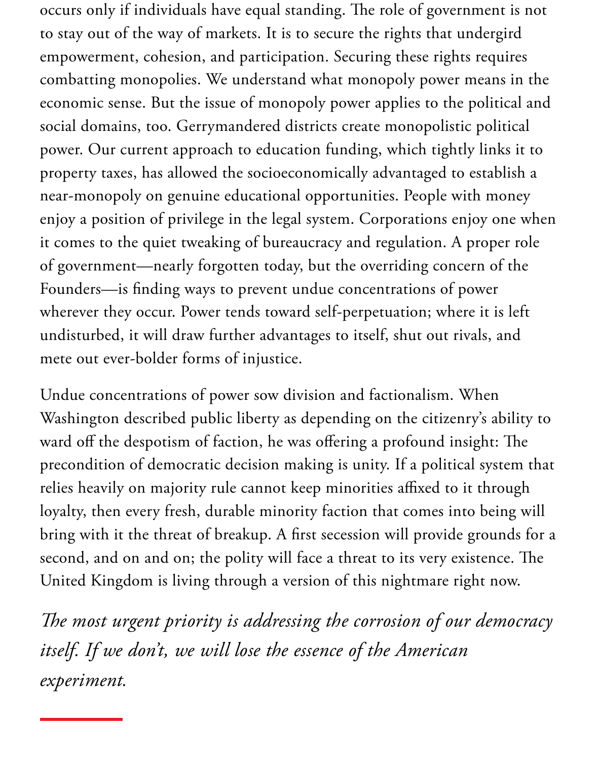occurs only if individuals have equal standing. The role of government is not to stay out of the way of markets. It is to secure the rights that undergird empowerment, cohesion, and participation. Securing these rights requires combatting monopolies. We understand what monopoly power means in the economic sense. But the issue of monopoly power applies to the political and social domains, too. Gerrymandered districts create monopolistic political power. Our current approach to education funding, which tightly links it to property taxes, has allowed the socioeconomically advantaged to establish a near-monopoly on genuine educational opportunities. People with money enjoy a position of privilege in the legal system. Corporations enjoy one when it comes to the quiet tweaking of bureaucracy and regulation. A proper role of government—nearly forgotten today, but the overriding concern of the Founders—is fnding ways to prevent undue concentrations of power wherever they occur. Power tends toward self-perpetuation; where it is left undisturbed, it will draw further advantages to itself, shut out rivals, and mete out ever-bolder forms of injustice.

Undue concentrations of power sow division and factionalism. When Washington described public liberty as depending on the citizenry's ability to ward off the despotism of faction, he was offering a profound insight: The precondition of democratic decision making is unity. If a political system that relies heavily on majority rule cannot keep minorities affixed to it through loyalty, then every fresh, durable minority faction that comes into being will bring with it the threat of breakup. A frst secession will provide grounds for a second, and on and on; the polity will face a threat to its very existence. The United Kingdom is living through a version of this nightmare right now.

*Te most urgent priority is addressing the corrosion of our democracy itself. If we don't, we will lose the essence of the American experiment.*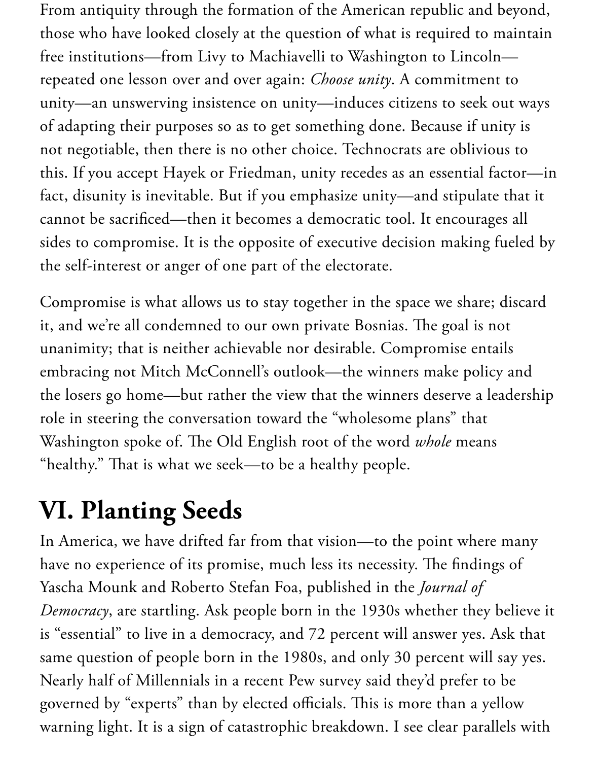From antiquity through the formation of the American republic and beyond, those who have looked closely at the question of what is required to maintain free institutions—from Livy to Machiavelli to Washington to Lincoln repeated one lesson over and over again: *Choose unity*. A commitment to unity—an unswerving insistence on unity—induces citizens to seek out ways of adapting their purposes so as to get something done. Because if unity is not negotiable, then there is no other choice. Technocrats are oblivious to this. If you accept Hayek or Friedman, unity recedes as an essential factor—in fact, disunity is inevitable. But if you emphasize unity—and stipulate that it cannot be sacrifced—then it becomes a democratic tool. It encourages all sides to compromise. It is the opposite of executive decision making fueled by the self-interest or anger of one part of the electorate.

Compromise is what allows us to stay together in the space we share; discard it, and we're all condemned to our own private Bosnias. The goal is not unanimity; that is neither achievable nor desirable. Compromise entails embracing not Mitch McConnell's outlook—the winners make policy and the losers go home—but rather the view that the winners deserve a leadership role in steering the conversation toward the "wholesome plans" that Washington spoke of. The Old English root of the word *whole* means "healthy." That is what we seek—to be a healthy people.

## **VI. Planting Seeds**

In America, we have drifted far from that vision—to the point where many have no experience of its promise, much less its necessity. The findings of Yascha Mounk and Roberto Stefan Foa, published in the *Journal of Democracy*, are startling. Ask people born in the 1930s whether they believe it is "essential" to live in a democracy, and 72 percent will answer yes. Ask that same question of people born in the 1980s, and only 30 percent will say yes. Nearly half of Millennials in a recent Pew survey said they'd prefer to be governed by "experts" than by elected officials. This is more than a yellow warning light. It is a sign of catastrophic breakdown. I see clear parallels with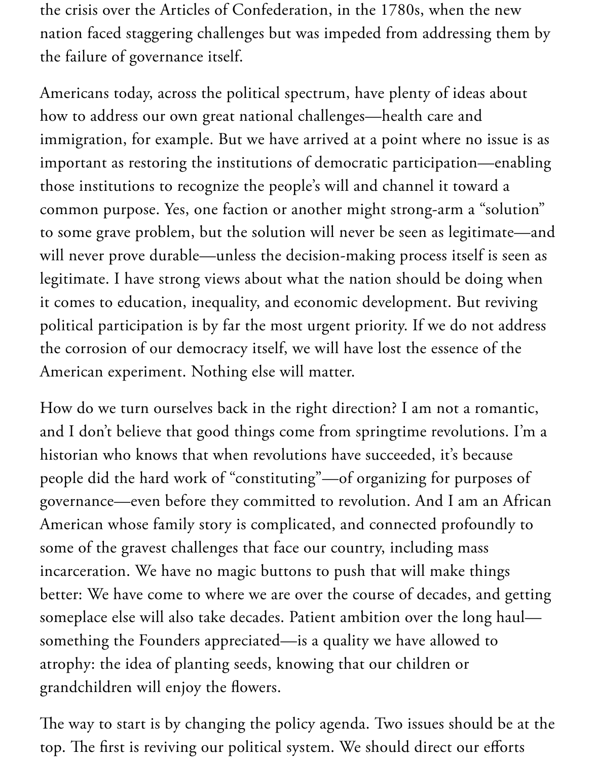the crisis over the Articles of Confederation, in the 1780s, when the new nation faced staggering challenges but was impeded from addressing them by the failure of governance itself.

Americans today, across the political spectrum, have plenty of ideas about how to address our own great national challenges—health care and immigration, for example. But we have arrived at a point where no issue is as important as restoring the institutions of democratic participation—enabling those institutions to recognize the people's will and channel it toward a common purpose. Yes, one faction or another might strong-arm a "solution" to some grave problem, but the solution will never be seen as legitimate—and will never prove durable—unless the decision-making process itself is seen as legitimate. I have strong views about what the nation should be doing when it comes to education, inequality, and economic development. But reviving political participation is by far the most urgent priority. If we do not address the corrosion of our democracy itself, we will have lost the essence of the American experiment. Nothing else will matter.

How do we turn ourselves back in the right direction? I am not a romantic, and I don't believe that good things come from springtime revolutions. I'm a historian who knows that when revolutions have succeeded, it's because people did the hard work of "constituting"—of organizing for purposes of governance—even before they committed to revolution. And I am an African American whose family story is complicated, and connected profoundly to some of the gravest challenges that face our country, including mass incarceration. We have no magic buttons to push that will make things better: We have come to where we are over the course of decades, and getting someplace else will also take decades. Patient ambition over the long haul something the Founders appreciated—is a quality we have allowed to atrophy: the idea of planting seeds, knowing that our children or grandchildren will enjoy the fowers.

The way to start is by changing the policy agenda. Two issues should be at the top. The first is reviving our political system. We should direct our efforts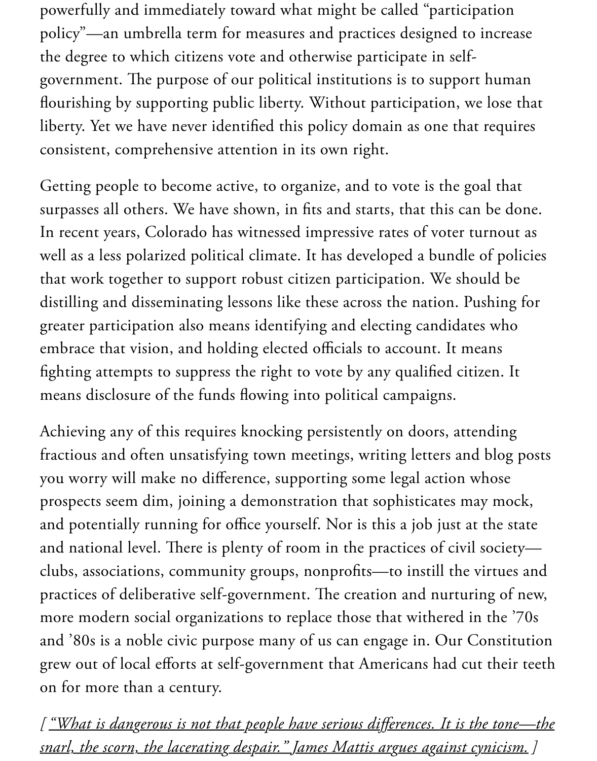fourishing by supporting public liberty. Without participation, we lose that liberty. Yet we have never identified this policy domain as one that require consistent, comprehensive attention in its own right.

Getting people to become active, to organize, and to vote is the goal that surpasses all others. We have shown, in fits and starts, that this can be In recent years, Colorado has witnessed impressive rates of voter turnout well as a less polarized political climate. It has developed a bundle of po that work together to support robust citizen participation. We should be distilling and disseminating lessons like these across the nation. Pushin greater participation also means identifying and electing candidates wh embrace that vision, and holding elected officials to account. It means fighting attempts to suppress the right to vote by any qualified citizen. means disclosure of the funds fowing into political campaigns.

Achieving any of this requires knocking persistently on doors, attendin fractious and often unsatisfying town meetings, writing letters and blog you worry will make no difference, supporting some legal action whose prospects seem dim, joining a demonstration that sophisticates may mo and potentially running for office yourself. Nor is this a job just at the and national level. There is plenty of room in the practices of civil society clubs, associations, community groups, nonprofits—to instill the virtu practices of deliberative self-government. The creation and nurturing of more modern social organizations to replace those that withered in the and '80s is a noble civic purpose many of us can engage in. Our Const grew out of local efforts at self-government that Americans had cut the on for more than a century.

*[* "What is dangerous is not that people have serious differences. It is the ton *snarl, the scorn, the lacerating despair." James Mattis argues against cynici*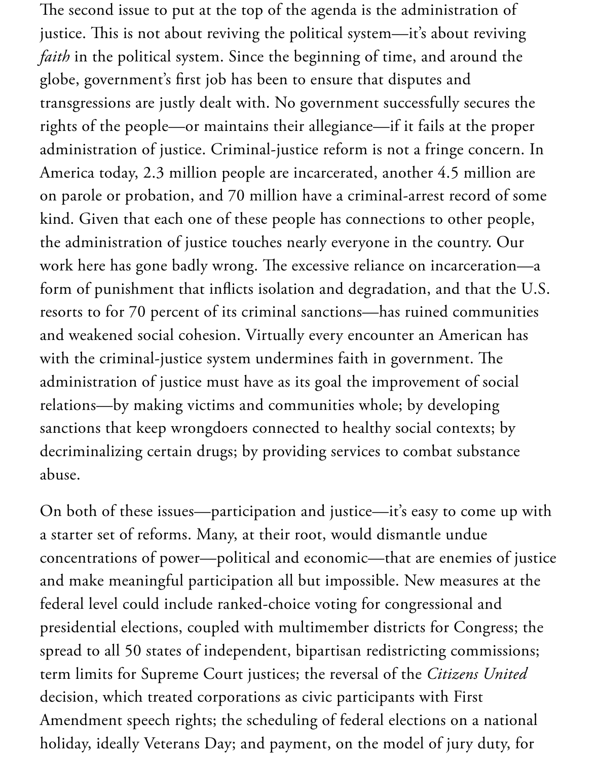The second issue to put at the top of the agenda is the administration of justice. This is not about reviving the political system-it's about reviving *faith* in the political system. Since the beginning of time, and around the globe, government's frst job has been to ensure that disputes and transgressions are justly dealt with. No government successfully secures the rights of the people—or maintains their allegiance—if it fails at the proper administration of justice. Criminal-justice reform is not a fringe concern. In America today, 2.3 million people are incarcerated, another 4.5 million are on parole or probation, and 70 million have a criminal-arrest record of some kind. Given that each one of these people has connections to other people, the administration of justice touches nearly everyone in the country. Our work here has gone badly wrong. The excessive reliance on incarceration-a form of punishment that inficts isolation and degradation, and that the U.S. resorts to for 70 percent of its criminal sanctions—has ruined communities and weakened social cohesion. Virtually every encounter an American has with the criminal-justice system undermines faith in government. The administration of justice must have as its goal the improvement of social relations—by making victims and communities whole; by developing sanctions that keep wrongdoers connected to healthy social contexts; by decriminalizing certain drugs; by providing services to combat substance abuse.

On both of these issues—participation and justice—it's easy to come up with a starter set of reforms. Many, at their root, would dismantle undue concentrations of power—political and economic—that are enemies of justice and make meaningful participation all but impossible. New measures at the federal level could include ranked-choice voting for congressional and presidential elections, coupled with multimember districts for Congress; the spread to all 50 states of independent, bipartisan redistricting commissions; term limits for Supreme Court justices; the reversal of the *Citizens United* decision, which treated corporations as civic participants with First Amendment speech rights; the scheduling of federal elections on a national holiday, ideally Veterans Day; and payment, on the model of jury duty, for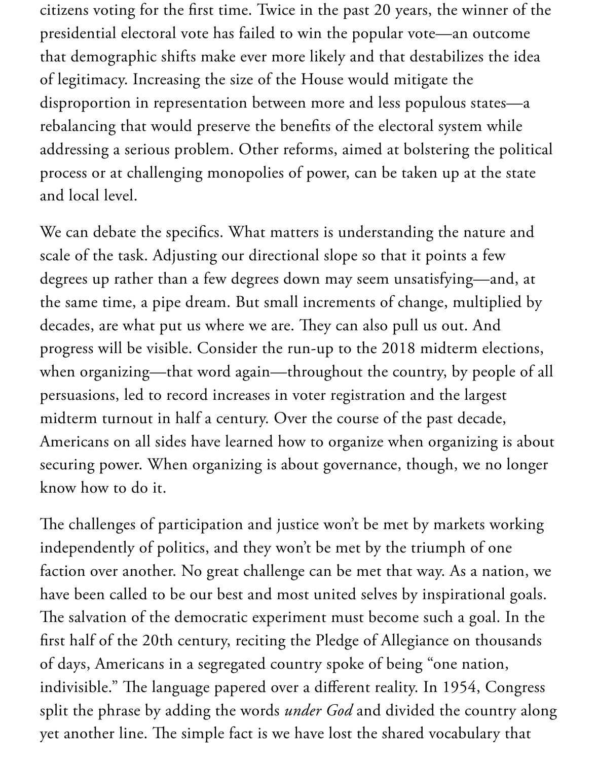citizens voting for the frst time. Twice in the past 20 years, the winner of the presidential electoral vote has failed to win the popular vote—an outcome that demographic shifts make ever more likely and that destabilizes the idea of legitimacy. Increasing the size of the House would mitigate the disproportion in representation between more and less populous states—a rebalancing that would preserve the benefts of the electoral system while addressing a serious problem. Other reforms, aimed at bolstering the political process or at challenging monopolies of power, can be taken up at the state and local level.

We can debate the specifics. What matters is understanding the nature and scale of the task. Adjusting our directional slope so that it points a few degrees up rather than a few degrees down may seem unsatisfying—and, at the same time, a pipe dream. But small increments of change, multiplied by decades, are what put us where we are. They can also pull us out. And progress will be visible. Consider the run-up to the 2018 midterm elections, when organizing—that word again—throughout the country, by people of all persuasions, led to record increases in voter registration and the largest midterm turnout in half a century. Over the course of the past decade, Americans on all sides have learned how to organize when organizing is about securing power. When organizing is about governance, though, we no longer know how to do it.

The challenges of participation and justice won't be met by markets working independently of politics, and they won't be met by the triumph of one faction over another. No great challenge can be met that way. As a nation, we have been called to be our best and most united selves by inspirational goals. The salvation of the democratic experiment must become such a goal. In the frst half of the 20th century, reciting the Pledge of Allegiance on thousands of days, Americans in a segregated country spoke of being "one nation, indivisible." The language papered over a different reality. In 1954, Congress split the phrase by adding the words *under God* and divided the country along yet another line. The simple fact is we have lost the shared vocabulary that